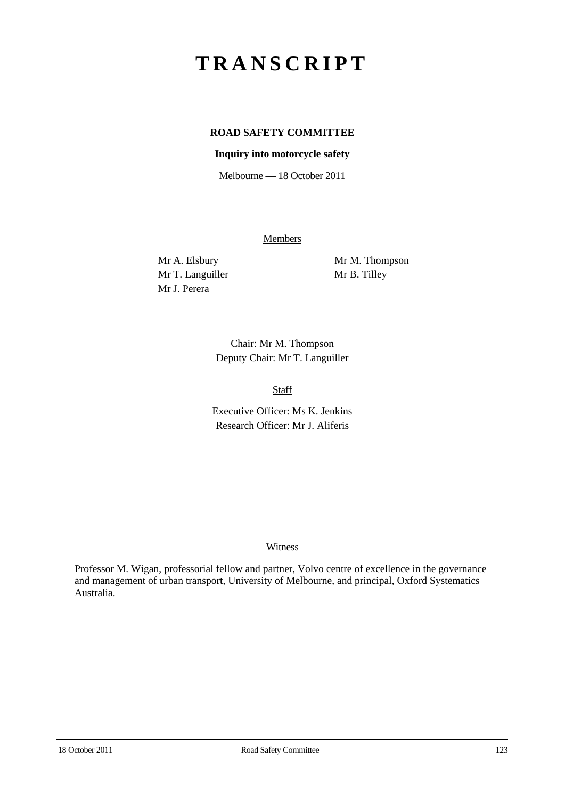# **TRANSCRIPT**

# **ROAD SAFETY COMMITTEE**

## **Inquiry into motorcycle safety**

Melbourne — 18 October 2011

Members

Mr T. Languiller Mr B. Tilley Mr J. Perera

Mr A. Elsbury Mr M. Thompson

Chair: Mr M. Thompson Deputy Chair: Mr T. Languiller

Staff

Executive Officer: Ms K. Jenkins Research Officer: Mr J. Aliferis

#### **Witness**

Professor M. Wigan, professorial fellow and partner, Volvo centre of excellence in the governance and management of urban transport, University of Melbourne, and principal, Oxford Systematics Australia.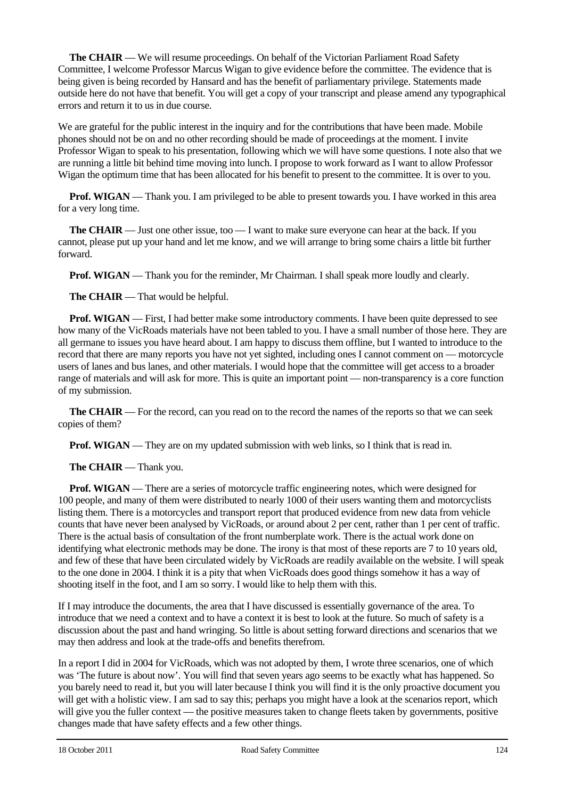**The CHAIR** — We will resume proceedings. On behalf of the Victorian Parliament Road Safety Committee, I welcome Professor Marcus Wigan to give evidence before the committee. The evidence that is being given is being recorded by Hansard and has the benefit of parliamentary privilege. Statements made outside here do not have that benefit. You will get a copy of your transcript and please amend any typographical errors and return it to us in due course.

We are grateful for the public interest in the inquiry and for the contributions that have been made. Mobile phones should not be on and no other recording should be made of proceedings at the moment. I invite Professor Wigan to speak to his presentation, following which we will have some questions. I note also that we are running a little bit behind time moving into lunch. I propose to work forward as I want to allow Professor Wigan the optimum time that has been allocated for his benefit to present to the committee. It is over to you.

**Prof. WIGAN** — Thank you. I am privileged to be able to present towards you. I have worked in this area for a very long time.

**The CHAIR** — Just one other issue, too — I want to make sure everyone can hear at the back. If you cannot, please put up your hand and let me know, and we will arrange to bring some chairs a little bit further forward.

**Prof. WIGAN** — Thank you for the reminder, Mr Chairman. I shall speak more loudly and clearly.

**The CHAIR** — That would be helpful.

**Prof. WIGAN** — First. I had better make some introductory comments. I have been quite depressed to see how many of the VicRoads materials have not been tabled to you. I have a small number of those here. They are all germane to issues you have heard about. I am happy to discuss them offline, but I wanted to introduce to the record that there are many reports you have not yet sighted, including ones I cannot comment on — motorcycle users of lanes and bus lanes, and other materials. I would hope that the committee will get access to a broader range of materials and will ask for more. This is quite an important point — non-transparency is a core function of my submission.

**The CHAIR** — For the record, can you read on to the record the names of the reports so that we can seek copies of them?

**Prof. WIGAN** — They are on my updated submission with web links, so I think that is read in.

**The CHAIR** — Thank you.

**Prof. WIGAN** — There are a series of motorcycle traffic engineering notes, which were designed for 100 people, and many of them were distributed to nearly 1000 of their users wanting them and motorcyclists listing them. There is a motorcycles and transport report that produced evidence from new data from vehicle counts that have never been analysed by VicRoads, or around about 2 per cent, rather than 1 per cent of traffic. There is the actual basis of consultation of the front numberplate work. There is the actual work done on identifying what electronic methods may be done. The irony is that most of these reports are 7 to 10 years old, and few of these that have been circulated widely by VicRoads are readily available on the website. I will speak to the one done in 2004. I think it is a pity that when VicRoads does good things somehow it has a way of shooting itself in the foot, and I am so sorry. I would like to help them with this.

If I may introduce the documents, the area that I have discussed is essentially governance of the area. To introduce that we need a context and to have a context it is best to look at the future. So much of safety is a discussion about the past and hand wringing. So little is about setting forward directions and scenarios that we may then address and look at the trade-offs and benefits therefrom.

In a report I did in 2004 for VicRoads, which was not adopted by them, I wrote three scenarios, one of which was 'The future is about now'. You will find that seven years ago seems to be exactly what has happened. So you barely need to read it, but you will later because I think you will find it is the only proactive document you will get with a holistic view. I am sad to say this; perhaps you might have a look at the scenarios report, which will give you the fuller context — the positive measures taken to change fleets taken by governments, positive changes made that have safety effects and a few other things.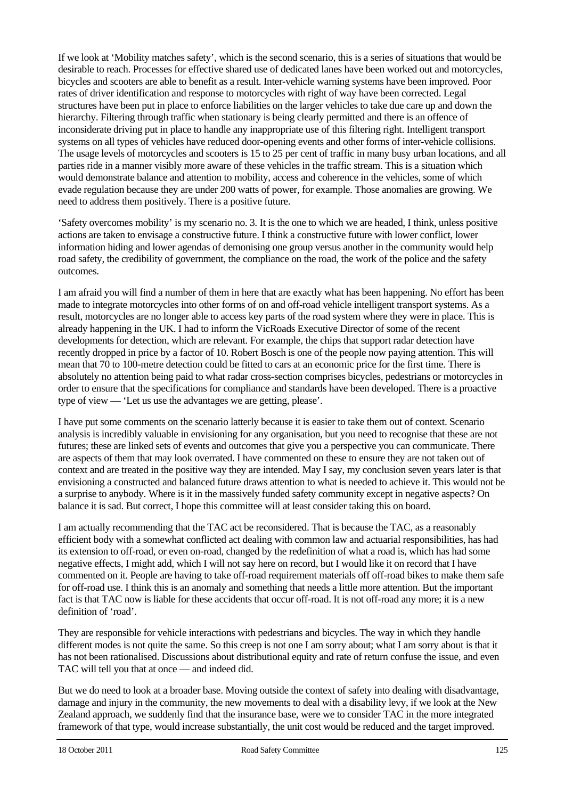If we look at 'Mobility matches safety', which is the second scenario, this is a series of situations that would be desirable to reach. Processes for effective shared use of dedicated lanes have been worked out and motorcycles, bicycles and scooters are able to benefit as a result. Inter-vehicle warning systems have been improved. Poor rates of driver identification and response to motorcycles with right of way have been corrected. Legal structures have been put in place to enforce liabilities on the larger vehicles to take due care up and down the hierarchy. Filtering through traffic when stationary is being clearly permitted and there is an offence of inconsiderate driving put in place to handle any inappropriate use of this filtering right. Intelligent transport systems on all types of vehicles have reduced door-opening events and other forms of inter-vehicle collisions. The usage levels of motorcycles and scooters is 15 to 25 per cent of traffic in many busy urban locations, and all parties ride in a manner visibly more aware of these vehicles in the traffic stream. This is a situation which would demonstrate balance and attention to mobility, access and coherence in the vehicles, some of which evade regulation because they are under 200 watts of power, for example. Those anomalies are growing. We need to address them positively. There is a positive future.

'Safety overcomes mobility' is my scenario no. 3. It is the one to which we are headed, I think, unless positive actions are taken to envisage a constructive future. I think a constructive future with lower conflict, lower information hiding and lower agendas of demonising one group versus another in the community would help road safety, the credibility of government, the compliance on the road, the work of the police and the safety outcomes.

I am afraid you will find a number of them in here that are exactly what has been happening. No effort has been made to integrate motorcycles into other forms of on and off-road vehicle intelligent transport systems. As a result, motorcycles are no longer able to access key parts of the road system where they were in place. This is already happening in the UK. I had to inform the VicRoads Executive Director of some of the recent developments for detection, which are relevant. For example, the chips that support radar detection have recently dropped in price by a factor of 10. Robert Bosch is one of the people now paying attention. This will mean that 70 to 100-metre detection could be fitted to cars at an economic price for the first time. There is absolutely no attention being paid to what radar cross-section comprises bicycles, pedestrians or motorcycles in order to ensure that the specifications for compliance and standards have been developed. There is a proactive type of view — 'Let us use the advantages we are getting, please'.

I have put some comments on the scenario latterly because it is easier to take them out of context. Scenario analysis is incredibly valuable in envisioning for any organisation, but you need to recognise that these are not futures; these are linked sets of events and outcomes that give you a perspective you can communicate. There are aspects of them that may look overrated. I have commented on these to ensure they are not taken out of context and are treated in the positive way they are intended. May I say, my conclusion seven years later is that envisioning a constructed and balanced future draws attention to what is needed to achieve it. This would not be a surprise to anybody. Where is it in the massively funded safety community except in negative aspects? On balance it is sad. But correct, I hope this committee will at least consider taking this on board.

I am actually recommending that the TAC act be reconsidered. That is because the TAC, as a reasonably efficient body with a somewhat conflicted act dealing with common law and actuarial responsibilities, has had its extension to off-road, or even on-road, changed by the redefinition of what a road is, which has had some negative effects, I might add, which I will not say here on record, but I would like it on record that I have commented on it. People are having to take off-road requirement materials off off-road bikes to make them safe for off-road use. I think this is an anomaly and something that needs a little more attention. But the important fact is that TAC now is liable for these accidents that occur off-road. It is not off-road any more; it is a new definition of 'road'.

They are responsible for vehicle interactions with pedestrians and bicycles. The way in which they handle different modes is not quite the same. So this creep is not one I am sorry about; what I am sorry about is that it has not been rationalised. Discussions about distributional equity and rate of return confuse the issue, and even TAC will tell you that at once — and indeed did.

But we do need to look at a broader base. Moving outside the context of safety into dealing with disadvantage, damage and injury in the community, the new movements to deal with a disability levy, if we look at the New Zealand approach, we suddenly find that the insurance base, were we to consider TAC in the more integrated framework of that type, would increase substantially, the unit cost would be reduced and the target improved.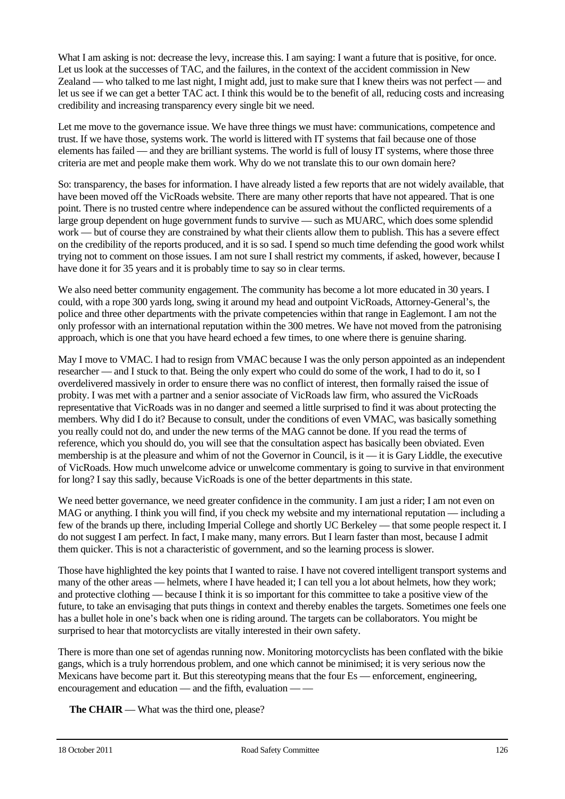What I am asking is not: decrease the levy, increase this. I am saying: I want a future that is positive, for once. Let us look at the successes of TAC, and the failures, in the context of the accident commission in New Zealand — who talked to me last night, I might add, just to make sure that I knew theirs was not perfect — and let us see if we can get a better TAC act. I think this would be to the benefit of all, reducing costs and increasing credibility and increasing transparency every single bit we need.

Let me move to the governance issue. We have three things we must have: communications, competence and trust. If we have those, systems work. The world is littered with IT systems that fail because one of those elements has failed — and they are brilliant systems. The world is full of lousy IT systems, where those three criteria are met and people make them work. Why do we not translate this to our own domain here?

So: transparency, the bases for information. I have already listed a few reports that are not widely available, that have been moved off the VicRoads website. There are many other reports that have not appeared. That is one point. There is no trusted centre where independence can be assured without the conflicted requirements of a large group dependent on huge government funds to survive — such as MUARC, which does some splendid work — but of course they are constrained by what their clients allow them to publish. This has a severe effect on the credibility of the reports produced, and it is so sad. I spend so much time defending the good work whilst trying not to comment on those issues. I am not sure I shall restrict my comments, if asked, however, because I have done it for 35 years and it is probably time to say so in clear terms.

We also need better community engagement. The community has become a lot more educated in 30 years. I could, with a rope 300 yards long, swing it around my head and outpoint VicRoads, Attorney-General's, the police and three other departments with the private competencies within that range in Eaglemont. I am not the only professor with an international reputation within the 300 metres. We have not moved from the patronising approach, which is one that you have heard echoed a few times, to one where there is genuine sharing.

May I move to VMAC. I had to resign from VMAC because I was the only person appointed as an independent researcher — and I stuck to that. Being the only expert who could do some of the work, I had to do it, so I overdelivered massively in order to ensure there was no conflict of interest, then formally raised the issue of probity. I was met with a partner and a senior associate of VicRoads law firm, who assured the VicRoads representative that VicRoads was in no danger and seemed a little surprised to find it was about protecting the members. Why did I do it? Because to consult, under the conditions of even VMAC, was basically something you really could not do, and under the new terms of the MAG cannot be done. If you read the terms of reference, which you should do, you will see that the consultation aspect has basically been obviated. Even membership is at the pleasure and whim of not the Governor in Council, is it — it is Gary Liddle, the executive of VicRoads. How much unwelcome advice or unwelcome commentary is going to survive in that environment for long? I say this sadly, because VicRoads is one of the better departments in this state.

We need better governance, we need greater confidence in the community. I am just a rider; I am not even on MAG or anything. I think you will find, if you check my website and my international reputation — including a few of the brands up there, including Imperial College and shortly UC Berkeley — that some people respect it. I do not suggest I am perfect. In fact, I make many, many errors. But I learn faster than most, because I admit them quicker. This is not a characteristic of government, and so the learning process is slower.

Those have highlighted the key points that I wanted to raise. I have not covered intelligent transport systems and many of the other areas — helmets, where I have headed it; I can tell you a lot about helmets, how they work; and protective clothing — because I think it is so important for this committee to take a positive view of the future, to take an envisaging that puts things in context and thereby enables the targets. Sometimes one feels one has a bullet hole in one's back when one is riding around. The targets can be collaborators. You might be surprised to hear that motorcyclists are vitally interested in their own safety.

There is more than one set of agendas running now. Monitoring motorcyclists has been conflated with the bikie gangs, which is a truly horrendous problem, and one which cannot be minimised; it is very serious now the Mexicans have become part it. But this stereotyping means that the four Es — enforcement, engineering, encouragement and education — and the fifth, evaluation — —

**The CHAIR** — What was the third one, please?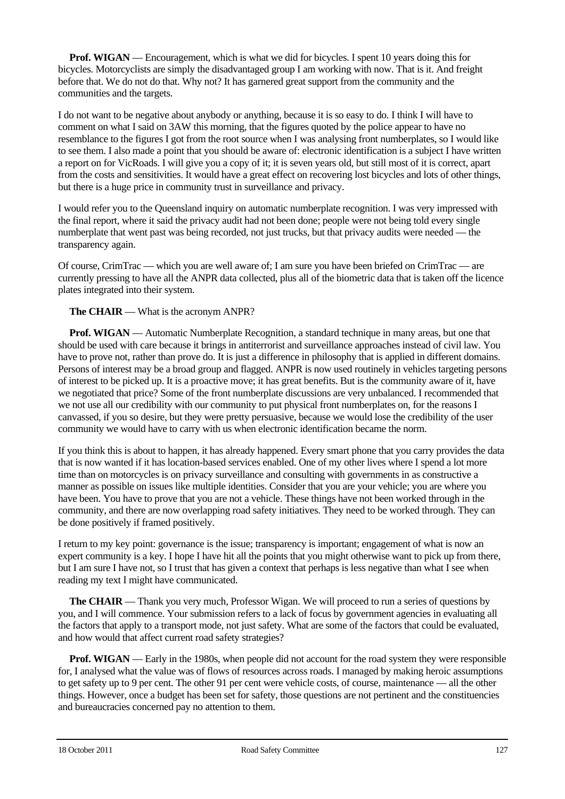**Prof. WIGAN** — Encouragement, which is what we did for bicycles. I spent 10 years doing this for bicycles. Motorcyclists are simply the disadvantaged group I am working with now. That is it. And freight before that. We do not do that. Why not? It has garnered great support from the community and the communities and the targets.

I do not want to be negative about anybody or anything, because it is so easy to do. I think I will have to comment on what I said on 3AW this morning, that the figures quoted by the police appear to have no resemblance to the figures I got from the root source when I was analysing front numberplates, so I would like to see them. I also made a point that you should be aware of: electronic identification is a subject I have written a report on for VicRoads. I will give you a copy of it; it is seven years old, but still most of it is correct, apart from the costs and sensitivities. It would have a great effect on recovering lost bicycles and lots of other things, but there is a huge price in community trust in surveillance and privacy.

I would refer you to the Queensland inquiry on automatic numberplate recognition. I was very impressed with the final report, where it said the privacy audit had not been done; people were not being told every single numberplate that went past was being recorded, not just trucks, but that privacy audits were needed — the transparency again.

Of course, CrimTrac — which you are well aware of; I am sure you have been briefed on CrimTrac — are currently pressing to have all the ANPR data collected, plus all of the biometric data that is taken off the licence plates integrated into their system.

# **The CHAIR** — What is the acronym ANPR?

**Prof. WIGAN** — Automatic Numberplate Recognition, a standard technique in many areas, but one that should be used with care because it brings in antiterrorist and surveillance approaches instead of civil law. You have to prove not, rather than prove do. It is just a difference in philosophy that is applied in different domains. Persons of interest may be a broad group and flagged. ANPR is now used routinely in vehicles targeting persons of interest to be picked up. It is a proactive move; it has great benefits. But is the community aware of it, have we negotiated that price? Some of the front numberplate discussions are very unbalanced. I recommended that we not use all our credibility with our community to put physical front numberplates on, for the reasons I canvassed, if you so desire, but they were pretty persuasive, because we would lose the credibility of the user community we would have to carry with us when electronic identification became the norm.

If you think this is about to happen, it has already happened. Every smart phone that you carry provides the data that is now wanted if it has location-based services enabled. One of my other lives where I spend a lot more time than on motorcycles is on privacy surveillance and consulting with governments in as constructive a manner as possible on issues like multiple identities. Consider that you are your vehicle; you are where you have been. You have to prove that you are not a vehicle. These things have not been worked through in the community, and there are now overlapping road safety initiatives. They need to be worked through. They can be done positively if framed positively.

I return to my key point: governance is the issue; transparency is important; engagement of what is now an expert community is a key. I hope I have hit all the points that you might otherwise want to pick up from there, but I am sure I have not, so I trust that has given a context that perhaps is less negative than what I see when reading my text I might have communicated.

**The CHAIR** — Thank you very much, Professor Wigan. We will proceed to run a series of questions by you, and I will commence. Your submission refers to a lack of focus by government agencies in evaluating all the factors that apply to a transport mode, not just safety. What are some of the factors that could be evaluated, and how would that affect current road safety strategies?

**Prof. WIGAN** — Early in the 1980s, when people did not account for the road system they were responsible for, I analysed what the value was of flows of resources across roads. I managed by making heroic assumptions to get safety up to 9 per cent. The other 91 per cent were vehicle costs, of course, maintenance — all the other things. However, once a budget has been set for safety, those questions are not pertinent and the constituencies and bureaucracies concerned pay no attention to them.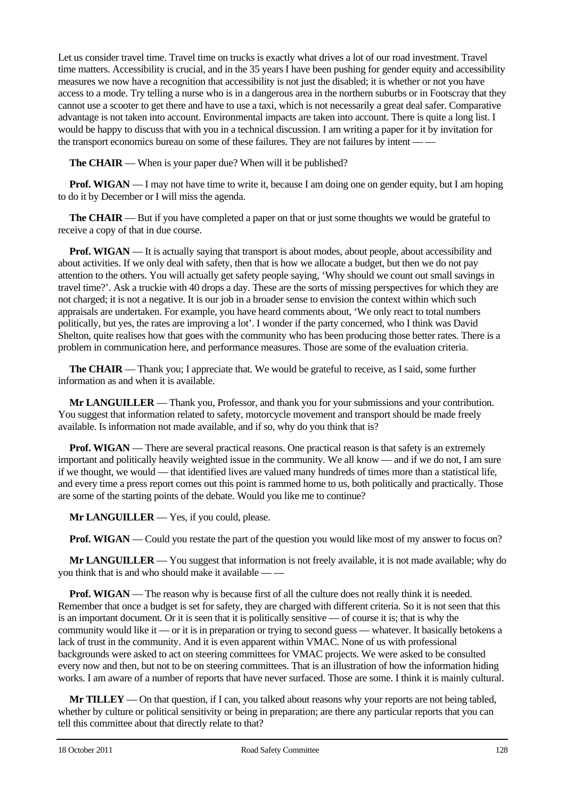Let us consider travel time. Travel time on trucks is exactly what drives a lot of our road investment. Travel time matters. Accessibility is crucial, and in the 35 years I have been pushing for gender equity and accessibility measures we now have a recognition that accessibility is not just the disabled; it is whether or not you have access to a mode. Try telling a nurse who is in a dangerous area in the northern suburbs or in Footscray that they cannot use a scooter to get there and have to use a taxi, which is not necessarily a great deal safer. Comparative advantage is not taken into account. Environmental impacts are taken into account. There is quite a long list. I would be happy to discuss that with you in a technical discussion. I am writing a paper for it by invitation for the transport economics bureau on some of these failures. They are not failures by intent — —

**The CHAIR** — When is your paper due? When will it be published?

**Prof. WIGAN** — I may not have time to write it, because I am doing one on gender equity, but I am hoping to do it by December or I will miss the agenda.

**The CHAIR** — But if you have completed a paper on that or just some thoughts we would be grateful to receive a copy of that in due course.

**Prof. WIGAN** — It is actually saying that transport is about modes, about people, about accessibility and about activities. If we only deal with safety, then that is how we allocate a budget, but then we do not pay attention to the others. You will actually get safety people saying, 'Why should we count out small savings in travel time?'. Ask a truckie with 40 drops a day. These are the sorts of missing perspectives for which they are not charged; it is not a negative. It is our job in a broader sense to envision the context within which such appraisals are undertaken. For example, you have heard comments about, 'We only react to total numbers politically, but yes, the rates are improving a lot'. I wonder if the party concerned, who I think was David Shelton, quite realises how that goes with the community who has been producing those better rates. There is a problem in communication here, and performance measures. Those are some of the evaluation criteria.

**The CHAIR** — Thank you; I appreciate that. We would be grateful to receive, as I said, some further information as and when it is available.

**Mr LANGUILLER** — Thank you, Professor, and thank you for your submissions and your contribution. You suggest that information related to safety, motorcycle movement and transport should be made freely available. Is information not made available, and if so, why do you think that is?

**Prof. WIGAN** — There are several practical reasons. One practical reason is that safety is an extremely important and politically heavily weighted issue in the community. We all know — and if we do not, I am sure if we thought, we would — that identified lives are valued many hundreds of times more than a statistical life, and every time a press report comes out this point is rammed home to us, both politically and practically. Those are some of the starting points of the debate. Would you like me to continue?

**Mr LANGUILLER** — Yes, if you could, please.

**Prof. WIGAN** — Could you restate the part of the question you would like most of my answer to focus on?

**Mr LANGUILLER** — You suggest that information is not freely available, it is not made available; why do you think that is and who should make it available — —

**Prof. WIGAN** — The reason why is because first of all the culture does not really think it is needed. Remember that once a budget is set for safety, they are charged with different criteria. So it is not seen that this is an important document. Or it is seen that it is politically sensitive — of course it is; that is why the community would like it — or it is in preparation or trying to second guess — whatever. It basically betokens a lack of trust in the community. And it is even apparent within VMAC. None of us with professional backgrounds were asked to act on steering committees for VMAC projects. We were asked to be consulted every now and then, but not to be on steering committees. That is an illustration of how the information hiding works. I am aware of a number of reports that have never surfaced. Those are some. I think it is mainly cultural.

**Mr TILLEY** — On that question, if I can, you talked about reasons why your reports are not being tabled, whether by culture or political sensitivity or being in preparation; are there any particular reports that you can tell this committee about that directly relate to that?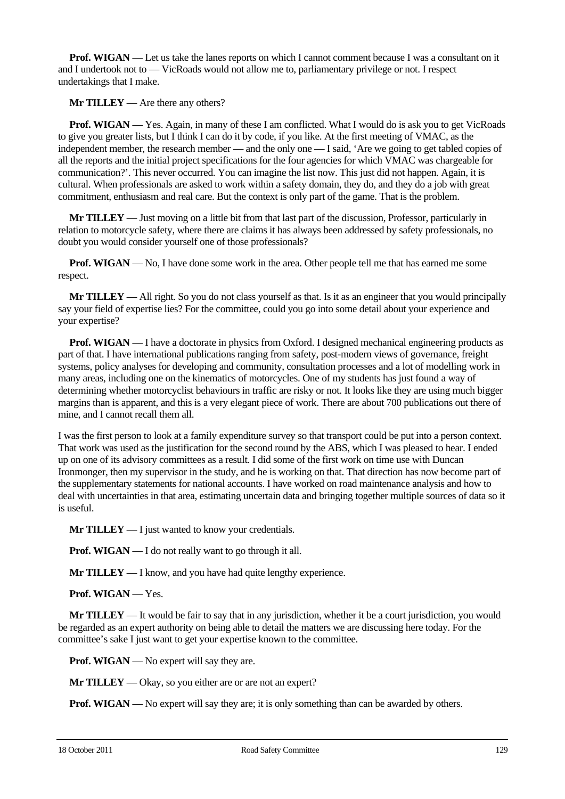**Prof. WIGAN** — Let us take the lanes reports on which I cannot comment because I was a consultant on it and I undertook not to — VicRoads would not allow me to, parliamentary privilege or not. I respect undertakings that I make.

**Mr TILLEY** — Are there any others?

**Prof. WIGAN** — Yes. Again, in many of these I am conflicted. What I would do is ask you to get VicRoads to give you greater lists, but I think I can do it by code, if you like. At the first meeting of VMAC, as the independent member, the research member — and the only one — I said, 'Are we going to get tabled copies of all the reports and the initial project specifications for the four agencies for which VMAC was chargeable for communication?'. This never occurred. You can imagine the list now. This just did not happen. Again, it is cultural. When professionals are asked to work within a safety domain, they do, and they do a job with great commitment, enthusiasm and real care. But the context is only part of the game. That is the problem.

**Mr TILLEY** — Just moving on a little bit from that last part of the discussion, Professor, particularly in relation to motorcycle safety, where there are claims it has always been addressed by safety professionals, no doubt you would consider yourself one of those professionals?

**Prof. WIGAN** — No, I have done some work in the area. Other people tell me that has earned me some respect.

**Mr TILLEY** — All right. So you do not class yourself as that. Is it as an engineer that you would principally say your field of expertise lies? For the committee, could you go into some detail about your experience and your expertise?

**Prof. WIGAN** — I have a doctorate in physics from Oxford. I designed mechanical engineering products as part of that. I have international publications ranging from safety, post-modern views of governance, freight systems, policy analyses for developing and community, consultation processes and a lot of modelling work in many areas, including one on the kinematics of motorcycles. One of my students has just found a way of determining whether motorcyclist behaviours in traffic are risky or not. It looks like they are using much bigger margins than is apparent, and this is a very elegant piece of work. There are about 700 publications out there of mine, and I cannot recall them all.

I was the first person to look at a family expenditure survey so that transport could be put into a person context. That work was used as the justification for the second round by the ABS, which I was pleased to hear. I ended up on one of its advisory committees as a result. I did some of the first work on time use with Duncan Ironmonger, then my supervisor in the study, and he is working on that. That direction has now become part of the supplementary statements for national accounts. I have worked on road maintenance analysis and how to deal with uncertainties in that area, estimating uncertain data and bringing together multiple sources of data so it is useful.

**Mr TILLEY** — I just wanted to know your credentials.

**Prof.** WIGAN — I do not really want to go through it all.

**Mr TILLEY** — I know, and you have had quite lengthy experience.

**Prof. WIGAN** — Yes.

**Mr TILLEY** — It would be fair to say that in any jurisdiction, whether it be a court jurisdiction, you would be regarded as an expert authority on being able to detail the matters we are discussing here today. For the committee's sake I just want to get your expertise known to the committee.

**Prof. WIGAN** — No expert will say they are.

**Mr TILLEY** — Okay, so you either are or are not an expert?

**Prof. WIGAN** — No expert will say they are; it is only something than can be awarded by others.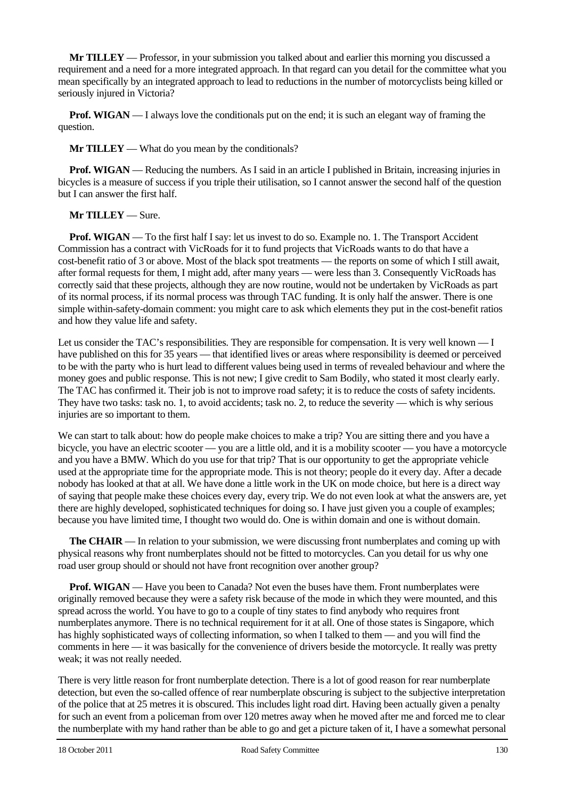**Mr TILLEY** — Professor, in your submission you talked about and earlier this morning you discussed a requirement and a need for a more integrated approach. In that regard can you detail for the committee what you mean specifically by an integrated approach to lead to reductions in the number of motorcyclists being killed or seriously injured in Victoria?

**Prof. WIGAN** — I always love the conditionals put on the end; it is such an elegant way of framing the question.

**Mr TILLEY** — What do you mean by the conditionals?

**Prof. WIGAN** — Reducing the numbers. As I said in an article I published in Britain, increasing injuries in bicycles is a measure of success if you triple their utilisation, so I cannot answer the second half of the question but I can answer the first half.

**Mr TILLEY** — Sure.

**Prof. WIGAN** — To the first half I say: let us invest to do so. Example no. 1. The Transport Accident Commission has a contract with VicRoads for it to fund projects that VicRoads wants to do that have a cost-benefit ratio of 3 or above. Most of the black spot treatments — the reports on some of which I still await, after formal requests for them, I might add, after many years — were less than 3. Consequently VicRoads has correctly said that these projects, although they are now routine, would not be undertaken by VicRoads as part of its normal process, if its normal process was through TAC funding. It is only half the answer. There is one simple within-safety-domain comment: you might care to ask which elements they put in the cost-benefit ratios and how they value life and safety.

Let us consider the TAC's responsibilities. They are responsible for compensation. It is very well known — I have published on this for 35 years — that identified lives or areas where responsibility is deemed or perceived to be with the party who is hurt lead to different values being used in terms of revealed behaviour and where the money goes and public response. This is not new; I give credit to Sam Bodily, who stated it most clearly early. The TAC has confirmed it. Their job is not to improve road safety; it is to reduce the costs of safety incidents. They have two tasks: task no. 1, to avoid accidents; task no. 2, to reduce the severity — which is why serious injuries are so important to them.

We can start to talk about: how do people make choices to make a trip? You are sitting there and you have a bicycle, you have an electric scooter — you are a little old, and it is a mobility scooter — you have a motorcycle and you have a BMW. Which do you use for that trip? That is our opportunity to get the appropriate vehicle used at the appropriate time for the appropriate mode. This is not theory; people do it every day. After a decade nobody has looked at that at all. We have done a little work in the UK on mode choice, but here is a direct way of saying that people make these choices every day, every trip. We do not even look at what the answers are, yet there are highly developed, sophisticated techniques for doing so. I have just given you a couple of examples; because you have limited time, I thought two would do. One is within domain and one is without domain.

**The CHAIR** — In relation to your submission, we were discussing front numberplates and coming up with physical reasons why front numberplates should not be fitted to motorcycles. Can you detail for us why one road user group should or should not have front recognition over another group?

**Prof. WIGAN** — Have you been to Canada? Not even the buses have them. Front numberplates were originally removed because they were a safety risk because of the mode in which they were mounted, and this spread across the world. You have to go to a couple of tiny states to find anybody who requires front numberplates anymore. There is no technical requirement for it at all. One of those states is Singapore, which has highly sophisticated ways of collecting information, so when I talked to them — and you will find the comments in here — it was basically for the convenience of drivers beside the motorcycle. It really was pretty weak; it was not really needed.

There is very little reason for front numberplate detection. There is a lot of good reason for rear numberplate detection, but even the so-called offence of rear numberplate obscuring is subject to the subjective interpretation of the police that at 25 metres it is obscured. This includes light road dirt. Having been actually given a penalty for such an event from a policeman from over 120 metres away when he moved after me and forced me to clear the numberplate with my hand rather than be able to go and get a picture taken of it, I have a somewhat personal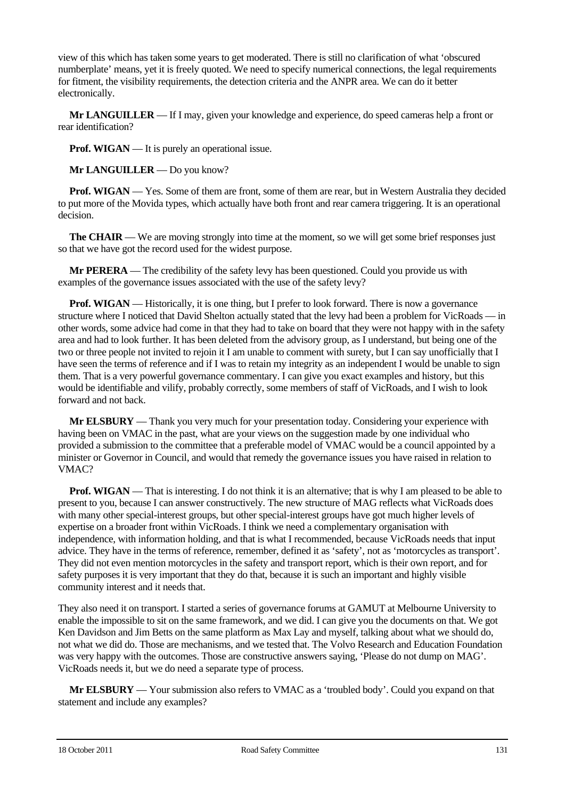view of this which has taken some years to get moderated. There is still no clarification of what 'obscured numberplate' means, yet it is freely quoted. We need to specify numerical connections, the legal requirements for fitment, the visibility requirements, the detection criteria and the ANPR area. We can do it better electronically.

**Mr LANGUILLER** — If I may, given your knowledge and experience, do speed cameras help a front or rear identification?

**Prof.** WIGAN — It is purely an operational issue.

**Mr LANGUILLER** — Do you know?

**Prof. WIGAN** — Yes. Some of them are front, some of them are rear, but in Western Australia they decided to put more of the Movida types, which actually have both front and rear camera triggering. It is an operational decision.

**The CHAIR** — We are moving strongly into time at the moment, so we will get some brief responses just so that we have got the record used for the widest purpose.

**Mr PERERA** — The credibility of the safety levy has been questioned. Could you provide us with examples of the governance issues associated with the use of the safety levy?

**Prof. WIGAN** — Historically, it is one thing, but I prefer to look forward. There is now a governance structure where I noticed that David Shelton actually stated that the levy had been a problem for VicRoads — in other words, some advice had come in that they had to take on board that they were not happy with in the safety area and had to look further. It has been deleted from the advisory group, as I understand, but being one of the two or three people not invited to rejoin it I am unable to comment with surety, but I can say unofficially that I have seen the terms of reference and if I was to retain my integrity as an independent I would be unable to sign them. That is a very powerful governance commentary. I can give you exact examples and history, but this would be identifiable and vilify, probably correctly, some members of staff of VicRoads, and I wish to look forward and not back.

**Mr ELSBURY** — Thank you very much for your presentation today. Considering your experience with having been on VMAC in the past, what are your views on the suggestion made by one individual who provided a submission to the committee that a preferable model of VMAC would be a council appointed by a minister or Governor in Council, and would that remedy the governance issues you have raised in relation to VMAC?

**Prof. WIGAN** — That is interesting. I do not think it is an alternative; that is why I am pleased to be able to present to you, because I can answer constructively. The new structure of MAG reflects what VicRoads does with many other special-interest groups, but other special-interest groups have got much higher levels of expertise on a broader front within VicRoads. I think we need a complementary organisation with independence, with information holding, and that is what I recommended, because VicRoads needs that input advice. They have in the terms of reference, remember, defined it as 'safety', not as 'motorcycles as transport'. They did not even mention motorcycles in the safety and transport report, which is their own report, and for safety purposes it is very important that they do that, because it is such an important and highly visible community interest and it needs that.

They also need it on transport. I started a series of governance forums at GAMUT at Melbourne University to enable the impossible to sit on the same framework, and we did. I can give you the documents on that. We got Ken Davidson and Jim Betts on the same platform as Max Lay and myself, talking about what we should do, not what we did do. Those are mechanisms, and we tested that. The Volvo Research and Education Foundation was very happy with the outcomes. Those are constructive answers saying, 'Please do not dump on MAG'. VicRoads needs it, but we do need a separate type of process.

**Mr ELSBURY** — Your submission also refers to VMAC as a 'troubled body'. Could you expand on that statement and include any examples?